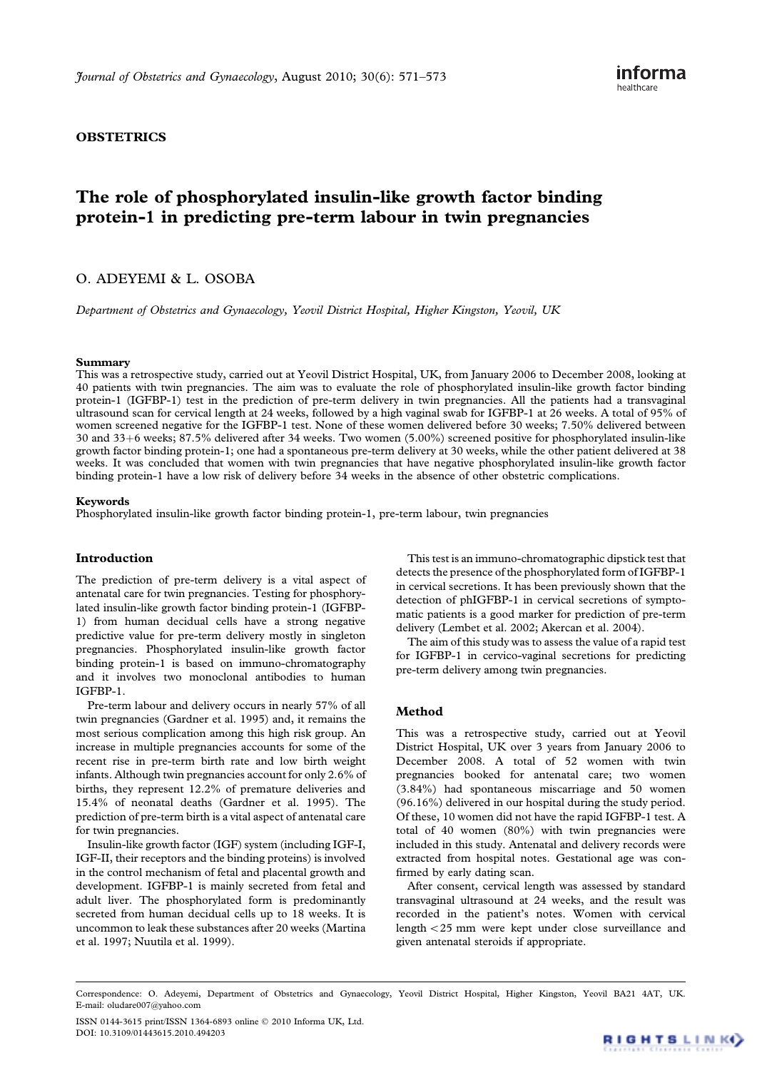# **OBSTETRICS**

# The role of phosphorylated insulin-like growth factor binding protein-1 in predicting pre-term labour in twin pregnancies

# O. ADEYEMI & L. OSOBA

Department of Obstetrics and Gynaecology, Yeovil District Hospital, Higher Kingston, Yeovil, UK

#### Summary

This was a retrospective study, carried out at Yeovil District Hospital, UK, from January 2006 to December 2008, looking at 40 patients with twin pregnancies. The aim was to evaluate the role of phosphorylated insulin-like growth factor binding protein-1 (IGFBP-1) test in the prediction of pre-term delivery in twin pregnancies. All the patients had a transvaginal ultrasound scan for cervical length at 24 weeks, followed by a high vaginal swab for IGFBP-1 at 26 weeks. A total of 95% of women screened negative for the IGFBP-1 test. None of these women delivered before 30 weeks; 7.50% delivered between 30 and 33+6 weeks; 87.5% delivered after 34 weeks. Two women (5.00%) screened positive for phosphorylated insulin-like growth factor binding protein-1; one had a spontaneous pre-term delivery at 30 weeks, while the other patient delivered at 38 weeks. It was concluded that women with twin pregnancies that have negative phosphorylated insulin-like growth factor binding protein-1 have a low risk of delivery before 34 weeks in the absence of other obstetric complications.

#### Keywords

Phosphorylated insulin-like growth factor binding protein-1, pre-term labour, twin pregnancies

## Introduction

The prediction of pre-term delivery is a vital aspect of antenatal care for twin pregnancies. Testing for phosphorylated insulin-like growth factor binding protein-1 (IGFBP-1) from human decidual cells have a strong negative predictive value for pre-term delivery mostly in singleton pregnancies. Phosphorylated insulin-like growth factor binding protein-1 is based on immuno-chromatography and it involves two monoclonal antibodies to human IGFBP-1.

Pre-term labour and delivery occurs in nearly 57% of all twin pregnancies (Gardner et al. 1995) and, it remains the most serious complication among this high risk group. An increase in multiple pregnancies accounts for some of the recent rise in pre-term birth rate and low birth weight infants. Although twin pregnancies account for only 2.6% of births, they represent 12.2% of premature deliveries and 15.4% of neonatal deaths (Gardner et al. 1995). The prediction of pre-term birth is a vital aspect of antenatal care for twin pregnancies.

Insulin-like growth factor (IGF) system (including IGF-I, IGF-II, their receptors and the binding proteins) is involved in the control mechanism of fetal and placental growth and development. IGFBP-1 is mainly secreted from fetal and adult liver. The phosphorylated form is predominantly secreted from human decidual cells up to 18 weeks. It is uncommon to leak these substances after 20 weeks (Martina et al. 1997; Nuutila et al. 1999).

This test is an immuno-chromatographic dipstick test that detects the presence of the phosphorylated form of IGFBP-1 in cervical secretions. It has been previously shown that the detection of phIGFBP-1 in cervical secretions of symptomatic patients is a good marker for prediction of pre-term delivery (Lembet et al. 2002; Akercan et al. 2004).

The aim of this study was to assess the value of a rapid test for IGFBP-1 in cervico-vaginal secretions for predicting pre-term delivery among twin pregnancies.

#### Method

This was a retrospective study, carried out at Yeovil District Hospital, UK over 3 years from January 2006 to December 2008. A total of 52 women with twin pregnancies booked for antenatal care; two women (3.84%) had spontaneous miscarriage and 50 women (96.16%) delivered in our hospital during the study period. Of these, 10 women did not have the rapid IGFBP-1 test. A total of 40 women (80%) with twin pregnancies were included in this study. Antenatal and delivery records were extracted from hospital notes. Gestational age was confirmed by early dating scan.

After consent, cervical length was assessed by standard transvaginal ultrasound at 24 weeks, and the result was recorded in the patient's notes. Women with cervical length 525 mm were kept under close surveillance and given antenatal steroids if appropriate.

Correspondence: O. Adeyemi, Department of Obstetrics and Gynaecology, Yeovil District Hospital, Higher Kingston, Yeovil BA21 4AT, UK. E-mail: oludare007@yahoo.com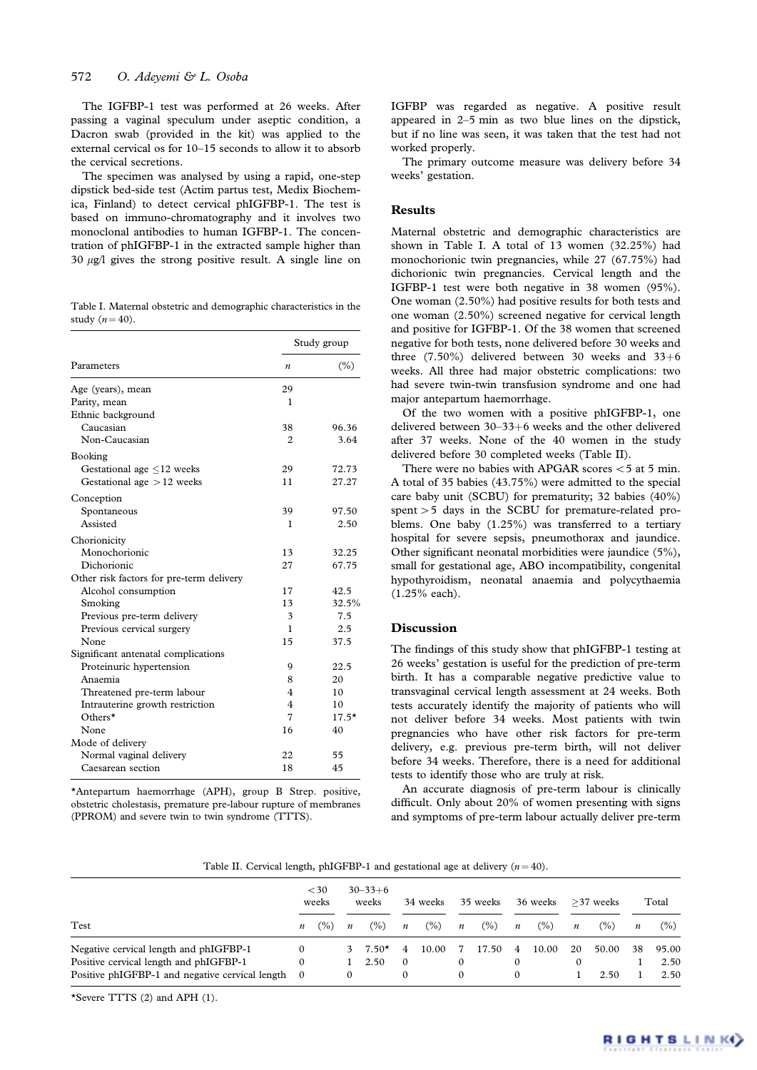The IGFBP-1 test was performed at 26 weeks. After passing a vaginal speculum under aseptic condition, a Dacron swab (provided in the kit) was applied to the external cervical os for 10–15 seconds to allow it to absorb the cervical secretions.

The specimen was analysed by using a rapid, one-step dipstick bed-side test (Actim partus test, Medix Biochemica, Finland) to detect cervical phIGFBP-1. The test is based on immuno-chromatography and it involves two monoclonal antibodies to human IGFBP-1. The concentration of phIGFBP-1 in the extracted sample higher than 30  $\mu$ g/l gives the strong positive result. A single line on

Table I. Maternal obstetric and demographic characteristics in the study  $(n = 40)$ .

|                                          | Study group      |         |  |  |  |  |
|------------------------------------------|------------------|---------|--|--|--|--|
| Parameters                               | $\boldsymbol{n}$ | (%)     |  |  |  |  |
| Age (years), mean                        | 29               |         |  |  |  |  |
| Parity, mean                             | 1                |         |  |  |  |  |
| Ethnic background                        |                  |         |  |  |  |  |
| Caucasian                                | 38               | 96.36   |  |  |  |  |
| Non-Caucasian                            | 2                | 3.64    |  |  |  |  |
| Booking                                  |                  |         |  |  |  |  |
| Gestational age $\leq$ 12 weeks          | 29               | 72.73   |  |  |  |  |
| Gestational age $>12$ weeks              | 11               | 27.27   |  |  |  |  |
| Conception                               |                  |         |  |  |  |  |
| Spontaneous                              | 39               | 97.50   |  |  |  |  |
| Assisted                                 | 1                | 2.50    |  |  |  |  |
| Chorionicity                             |                  |         |  |  |  |  |
| Monochorionic                            | 13               | 32.25   |  |  |  |  |
| Dichorionic                              | 27               | 67.75   |  |  |  |  |
| Other risk factors for pre-term delivery |                  |         |  |  |  |  |
| Alcohol consumption                      | 17               | 42.5    |  |  |  |  |
| Smoking                                  | 13               | 32.5%   |  |  |  |  |
| Previous pre-term delivery               | 3                | 7.5     |  |  |  |  |
| Previous cervical surgery                | 1                | 2.5     |  |  |  |  |
| None                                     | 15               | 37.5    |  |  |  |  |
| Significant antenatal complications      |                  |         |  |  |  |  |
| Proteinuric hypertension                 | 9                | 22.5    |  |  |  |  |
| Anaemia                                  | 8                | 20      |  |  |  |  |
| Threatened pre-term labour               | 4                | 10      |  |  |  |  |
| Intrauterine growth restriction          | 4                | 10      |  |  |  |  |
| Others $\star$                           | 7                | $17.5*$ |  |  |  |  |
| None                                     | 16               | 40      |  |  |  |  |
| Mode of delivery                         |                  |         |  |  |  |  |
| Normal vaginal delivery                  | 22               | 55      |  |  |  |  |
| Caesarean section                        | 18               | 45      |  |  |  |  |

\*Antepartum haemorrhage (APH), group B Strep. positive, obstetric cholestasis, premature pre-labour rupture of membranes (PPROM) and severe twin to twin syndrome (TTTS).

IGFBP was regarded as negative. A positive result appeared in 2–5 min as two blue lines on the dipstick, but if no line was seen, it was taken that the test had not worked properly.

The primary outcome measure was delivery before 34 weeks' gestation.

## Results

Maternal obstetric and demographic characteristics are shown in Table I. A total of 13 women (32.25%) had monochorionic twin pregnancies, while 27 (67.75%) had dichorionic twin pregnancies. Cervical length and the IGFBP-1 test were both negative in 38 women (95%). One woman (2.50%) had positive results for both tests and one woman (2.50%) screened negative for cervical length and positive for IGFBP-1. Of the 38 women that screened negative for both tests, none delivered before 30 weeks and three  $(7.50\%)$  delivered between 30 weeks and 33+6 weeks. All three had major obstetric complications: two had severe twin-twin transfusion syndrome and one had major antepartum haemorrhage.

Of the two women with a positive phIGFBP-1, one delivered between  $30-33+6$  weeks and the other delivered after 37 weeks. None of the 40 women in the study delivered before 30 completed weeks (Table II).

There were no babies with APGAR scores  $<$  5 at 5 min. A total of 35 babies (43.75%) were admitted to the special care baby unit (SCBU) for prematurity; 32 babies (40%) spent  $>$  5 days in the SCBU for premature-related problems. One baby (1.25%) was transferred to a tertiary hospital for severe sepsis, pneumothorax and jaundice. Other significant neonatal morbidities were jaundice (5%), small for gestational age, ABO incompatibility, congenital hypothyroidism, neonatal anaemia and polycythaemia (1.25% each).

#### Discussion

The findings of this study show that phIGFBP-1 testing at 26 weeks' gestation is useful for the prediction of pre-term birth. It has a comparable negative predictive value to transvaginal cervical length assessment at 24 weeks. Both tests accurately identify the majority of patients who will not deliver before 34 weeks. Most patients with twin pregnancies who have other risk factors for pre-term delivery, e.g. previous pre-term birth, will not deliver before 34 weeks. Therefore, there is a need for additional tests to identify those who are truly at risk.

An accurate diagnosis of pre-term labour is clinically difficult. Only about 20% of women presenting with signs and symptoms of pre-term labour actually deliver pre-term

Table II. Cervical length, phIGFBP-1 and gestational age at delivery  $(n = 40)$ .

|                                                                                  | $<$ 30<br>weeks      |        | $30 - 33 + 6$<br>weeks |                 | 34 weeks                   |       | 35 weeks         |       | 36 weeks         |       | $>37$ weeks      |        | Total            |               |
|----------------------------------------------------------------------------------|----------------------|--------|------------------------|-----------------|----------------------------|-------|------------------|-------|------------------|-------|------------------|--------|------------------|---------------|
| Test                                                                             | $\boldsymbol{n}$     | $($ %) | $\boldsymbol{n}$       | $(\% )$         | $\overline{n}$             | (% )  | $\boldsymbol{n}$ | (% )  | $\boldsymbol{n}$ | (% )  | $\boldsymbol{n}$ | $(\%)$ | $\boldsymbol{n}$ | $(\%)$        |
| Negative cervical length and phIGFBP-1<br>Positive cervical length and phIGFBP-1 | $\Omega$<br>$\Omega$ |        | 3                      | $7.50*$<br>2.50 | $\overline{4}$<br>$\Omega$ | 10.00 | 7<br>$\Omega$    | 17.50 | -4<br>0          | 10.00 | 20               | 50.00  | 38               | 95.00<br>2.50 |
| Positive phIGFBP-1 and negative cervical length 0                                |                      |        | 0                      |                 |                            |       | $\Omega$         |       | 0                |       |                  | 2.50   |                  | 2.50          |

\*Severe TTTS (2) and APH (1).